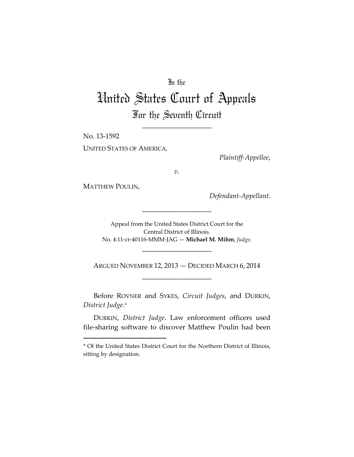# In the

# United States Court of Appeals For the Seventh Circuit

\_\_\_\_\_\_\_\_\_\_\_\_\_\_\_\_\_\_\_\_

No. 13‐1592 UNITED STATES OF AMERICA,

*Plaintiff‐Appellee*,

*v.*

MATTHEW POULIN,

*Defendant‐Appellant*.

Appeal from the United States District Court for the Central District of Illinois. No. 4:11‐cr‐40116‐MMM‐JAG — **Michael M. Mihm**, *Judge*.

\_\_\_\_\_\_\_\_\_\_\_\_\_\_\_\_\_\_\_\_

\_\_\_\_\_\_\_\_\_\_\_\_\_\_\_\_\_\_\_\_

ARGUED NOVEMBER 12, 2013 — DECIDED MARCH 6, 2014 \_\_\_\_\_\_\_\_\_\_\_\_\_\_\_\_\_\_\_\_

Before ROVNER and SYKES, *Circuit Judges*, and DURKIN, *District Judge*.

DURKIN, *District Judge*. Law enforcement officers used file‐sharing software to discover Matthew Poulin had been

Of the United States District Court for the Northern District of Illinois, sitting by designation.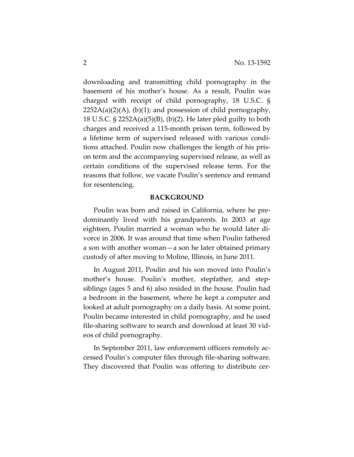downloading and transmitting child pornography in the basement of his mother's house. As a result, Poulin was charged with receipt of child pornography, 18 U.S.C. §  $2252A(a)(2)(A)$ , (b)(1); and possession of child pornography, 18 U.S.C. § 2252A(a)(5)(B), (b)(2). He later pled guilty to both charges and received a 115‐month prison term, followed by a lifetime term of supervised released with various condi‐ tions attached. Poulin now challenges the length of his pris‐ on term and the accompanying supervised release, as well as certain conditions of the supervised release term. For the reasons that follow, we vacate Poulin's sentence and remand for resentencing.

## **BACKGROUND**

Poulin was born and raised in California, where he pre‐ dominantly lived with his grandparents. In 2003 at age eighteen, Poulin married a woman who he would later di‐ vorce in 2006. It was around that time when Poulin fathered a son with another woman—a son he later obtained primary custody of after moving to Moline, Illinois, in June 2011.

In August 2011, Poulin and his son moved into Poulin's mother's house. Poulin's mother, stepfather, and stepsiblings (ages 5 and 6) also resided in the house. Poulin had a bedroom in the basement, where he kept a computer and looked at adult pornography on a daily basis. At some point, Poulin became interested in child pornography, and he used file‐sharing software to search and download at least 30 vid‐ eos of child pornography.

In September 2011, law enforcement officers remotely ac‐ cessed Poulin's computer files through file‐sharing software. They discovered that Poulin was offering to distribute cer‐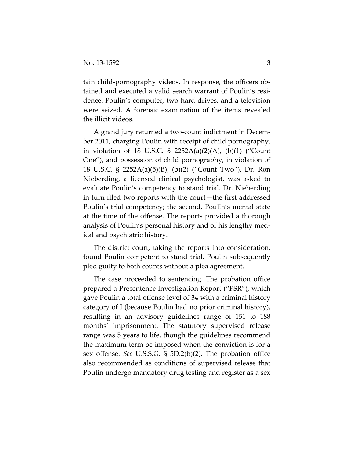tain child‐pornography videos. In response, the officers ob‐ tained and executed a valid search warrant of Poulin's resi‐ dence. Poulin's computer, two hard drives, and a television were seized. A forensic examination of the items revealed the illicit videos.

A grand jury returned a two‐count indictment in Decem‐ ber 2011, charging Poulin with receipt of child pornography, in violation of 18 U.S.C. § 2252A(a)(2)(A), (b)(1) ("Count One"), and possession of child pornography, in violation of 18 U.S.C. § 2252A(a)(5)(B), (b)(2) ("Count Two"). Dr. Ron Nieberding, a licensed clinical psychologist, was asked to evaluate Poulin's competency to stand trial. Dr. Nieberding in turn filed two reports with the court—the first addressed Poulin's trial competency; the second, Poulin's mental state at the time of the offense. The reports provided a thorough analysis of Poulin's personal history and of his lengthy med‐ ical and psychiatric history.

The district court, taking the reports into consideration, found Poulin competent to stand trial. Poulin subsequently pled guilty to both counts without a plea agreement.

The case proceeded to sentencing. The probation office prepared a Presentence Investigation Report ("PSR"), which gave Poulin a total offense level of 34 with a criminal history category of I (because Poulin had no prior criminal history), resulting in an advisory guidelines range of 151 to 188 months' imprisonment. The statutory supervised release range was 5 years to life, though the guidelines recommend the maximum term be imposed when the conviction is for a sex offense. *See* U.S.S.G. § 5D.2(b)(2). The probation office also recommended as conditions of supervised release that Poulin undergo mandatory drug testing and register as a sex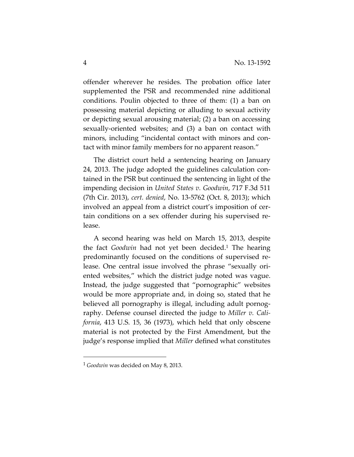offender wherever he resides. The probation office later supplemented the PSR and recommended nine additional conditions. Poulin objected to three of them: (1) a ban on possessing material depicting or alluding to sexual activity or depicting sexual arousing material; (2) a ban on accessing sexually‐oriented websites; and (3) a ban on contact with minors, including "incidental contact with minors and con‐ tact with minor family members for no apparent reason."

The district court held a sentencing hearing on January 24, 2013. The judge adopted the guidelines calculation con‐ tained in the PSR but continued the sentencing in light of the impending decision in *United States v. Goodwin*, 717 F.3d 511 (7th Cir. 2013), *cert. denied*, No. 13‐5762 (Oct. 8, 2013); which involved an appeal from a district court's imposition of certain conditions on a sex offender during his supervised re‐ lease.

A second hearing was held on March 15, 2013, despite the fact *Goodwin* had not yet been decided.1 The hearing predominantly focused on the conditions of supervised re‐ lease. One central issue involved the phrase "sexually ori‐ ented websites," which the district judge noted was vague. Instead, the judge suggested that "pornographic" websites would be more appropriate and, in doing so, stated that he believed all pornography is illegal, including adult pornography. Defense counsel directed the judge to *Miller v. Cali‐ fornia*, 413 U.S. 15, 36 (1973), which held that only obscene material is not protected by the First Amendment, but the judge's response implied that *Miller* defined what constitutes

<sup>1</sup> *Goodwin* was decided on May 8, 2013.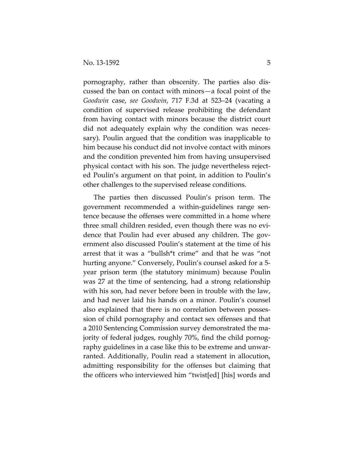pornography, rather than obscenity. The parties also dis‐ cussed the ban on contact with minors—a focal point of the *Goodwin* case, *see Goodwin*, 717 F.3d at 523–24 (vacating a condition of supervised release prohibiting the defendant from having contact with minors because the district court did not adequately explain why the condition was neces‐ sary). Poulin argued that the condition was inapplicable to him because his conduct did not involve contact with minors and the condition prevented him from having unsupervised physical contact with his son. The judge nevertheless reject‐ ed Poulin's argument on that point, in addition to Poulin's other challenges to the supervised release conditions.

The parties then discussed Poulin's prison term. The government recommended a within‐guidelines range sen‐ tence because the offenses were committed in a home where three small children resided, even though there was no evi‐ dence that Poulin had ever abused any children. The gov‐ ernment also discussed Poulin's statement at the time of his arrest that it was a "bullsh\*t crime" and that he was "not hurting anyone." Conversely, Poulin's counsel asked for a 5year prison term (the statutory minimum) because Poulin was 27 at the time of sentencing, had a strong relationship with his son, had never before been in trouble with the law, and had never laid his hands on a minor. Poulin's counsel also explained that there is no correlation between posses‐ sion of child pornography and contact sex offenses and that a 2010 Sentencing Commission survey demonstrated the ma‐ jority of federal judges, roughly 70%, find the child pornog‐ raphy guidelines in a case like this to be extreme and unwar‐ ranted. Additionally, Poulin read a statement in allocution, admitting responsibility for the offenses but claiming that the officers who interviewed him "twist[ed] [his] words and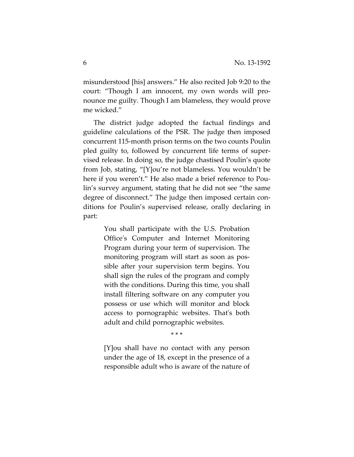misunderstood [his] answers." He also recited Job 9:20 to the court: "Though I am innocent, my own words will pro‐ nounce me guilty. Though I am blameless, they would prove me wicked."

The district judge adopted the factual findings and guideline calculations of the PSR. The judge then imposed concurrent 115‐month prison terms on the two counts Poulin pled guilty to, followed by concurrent life terms of super‐ vised release. In doing so, the judge chastised Poulin's quote from Job, stating, "[Y]ou're not blameless. You wouldn't be here if you weren't." He also made a brief reference to Poulin's survey argument, stating that he did not see "the same degree of disconnect." The judge then imposed certain con‐ ditions for Poulin's supervised release, orally declaring in part:

> You shall participate with the U.S. Probation Officeʹs Computer and Internet Monitoring Program during your term of supervision. The monitoring program will start as soon as pos‐ sible after your supervision term begins. You shall sign the rules of the program and comply with the conditions. During this time, you shall install filtering software on any computer you possess or use which will monitor and block access to pornographic websites. Thatʹs both adult and child pornographic websites.

> > \* \* \*

[Y]ou shall have no contact with any person under the age of 18, except in the presence of a responsible adult who is aware of the nature of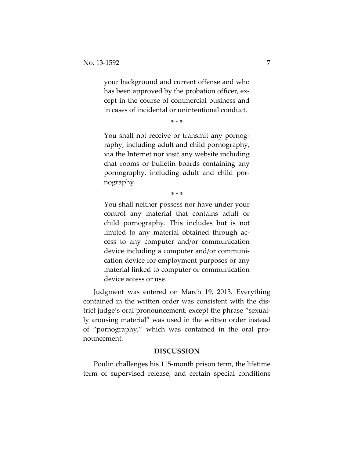your background and current offense and who has been approved by the probation officer, except in the course of commercial business and in cases of incidental or unintentional conduct.

\* \* \*

You shall not receive or transmit any pornography, including adult and child pornography, via the Internet nor visit any website including chat rooms or bulletin boards containing any pornography, including adult and child por‐ nography.

\* \* \*

You shall neither possess nor have under your control any material that contains adult or child pornography. This includes but is not limited to any material obtained through ac‐ cess to any computer and/or communication device including a computer and/or communi‐ cation device for employment purposes or any material linked to computer or communication device access or use.

Judgment was entered on March 19, 2013. Everything contained in the written order was consistent with the dis‐ trict judge's oral pronouncement, except the phrase "sexual‐ ly arousing material" was used in the written order instead of "pornography," which was contained in the oral pro‐ nouncement.

#### **DISCUSSION**

Poulin challenges his 115‐month prison term, the lifetime term of supervised release, and certain special conditions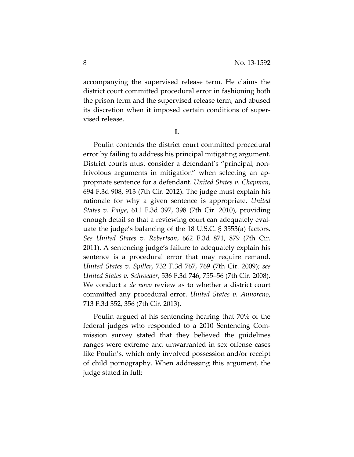accompanying the supervised release term. He claims the district court committed procedural error in fashioning both the prison term and the supervised release term, and abused its discretion when it imposed certain conditions of super‐ vised release.

**I.**

Poulin contends the district court committed procedural error by failing to address his principal mitigating argument. District courts must consider a defendant's "principal, non‐ frivolous arguments in mitigation" when selecting an ap‐ propriate sentence for a defendant. *United States v. Chapman*, 694 F.3d 908, 913 (7th Cir. 2012). The judge must explain his rationale for why a given sentence is appropriate, *United States v. Paige*, 611 F.3d 397, 398 (7th Cir. 2010), providing enough detail so that a reviewing court can adequately eval‐ uate the judge's balancing of the 18 U.S.C. § 3553(a) factors. *See United States v. Robertson*, 662 F.3d 871, 879 (7th Cir. 2011). A sentencing judge's failure to adequately explain his sentence is a procedural error that may require remand. *United States v. Spiller*, 732 F.3d 767, 769 (7th Cir. 2009); *see United States v. Schroeder*, 536 F.3d 746, 755–56 (7th Cir. 2008). We conduct a *de novo* review as to whether a district court committed any procedural error. *United States v. Annoreno*, 713 F.3d 352, 356 (7th Cir. 2013).

Poulin argued at his sentencing hearing that 70% of the federal judges who responded to a 2010 Sentencing Com‐ mission survey stated that they believed the guidelines ranges were extreme and unwarranted in sex offense cases like Poulin's, which only involved possession and/or receipt of child pornography. When addressing this argument, the judge stated in full: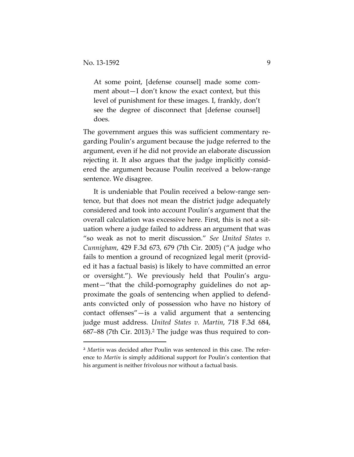At some point, [defense counsel] made some com‐ ment about—I don't know the exact context, but this level of punishment for these images. I, frankly, don't see the degree of disconnect that [defense counsel] does.

The government argues this was sufficient commentary re‐ garding Poulin's argument because the judge referred to the argument, even if he did not provide an elaborate discussion rejecting it. It also argues that the judge implicitly consid‐ ered the argument because Poulin received a below‐range sentence. We disagree.

It is undeniable that Poulin received a below-range sentence, but that does not mean the district judge adequately considered and took into account Poulin's argument that the overall calculation was excessive here. First, this is not a sit‐ uation where a judge failed to address an argument that was "so weak as not to merit discussion." *See United States v. Cunnigham*, 429 F.3d 673, 679 (7th Cir. 2005) ("A judge who fails to mention a ground of recognized legal merit (provid‐ ed it has a factual basis) is likely to have committed an error or oversight."). We previously held that Poulin's argument—"that the child-pornography guidelines do not approximate the goals of sentencing when applied to defend‐ ants convicted only of possession who have no history of contact offenses"—is a valid argument that a sentencing judge must address. *United States v. Martin*, 718 F.3d 684, 687–88 (7th Cir. 2013).2 The judge was thus required to con‐

<sup>&</sup>lt;sup>2</sup> Martin was decided after Poulin was sentenced in this case. The reference to *Martin* is simply additional support for Poulin's contention that his argument is neither frivolous nor without a factual basis.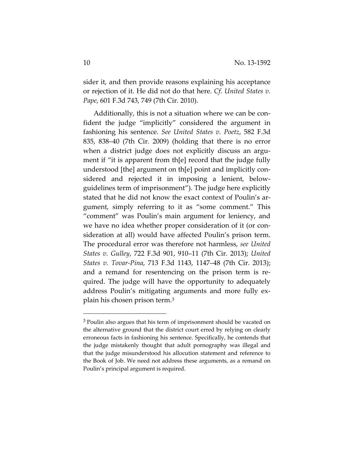sider it, and then provide reasons explaining his acceptance or rejection of it. He did not do that here. *Cf. United States v. Pape*, 601 F.3d 743, 749 (7th Cir. 2010).

Additionally, this is not a situation where we can be con‐ fident the judge "implicitly" considered the argument in fashioning his sentence. *See United States v. Poetz*, 582 F.3d 835, 838–40 (7th Cir. 2009) (holding that there is no error when a district judge does not explicitly discuss an argument if "it is apparent from th[e] record that the judge fully understood [the] argument on th[e] point and implicitly con‐ sidered and rejected it in imposing a lenient, below‐ guidelines term of imprisonment"). The judge here explicitly stated that he did not know the exact context of Poulin's ar‐ gument, simply referring to it as "some comment." This "comment" was Poulin's main argument for leniency, and we have no idea whether proper consideration of it (or consideration at all) would have affected Poulin's prison term. The procedural error was therefore not harmless, *see United States v. Gulley*, 722 F.3d 901, 910–11 (7th Cir. 2013); *United States v. Tovar‐Pina*, 713 F.3d 1143, 1147–48 (7th Cir. 2013); and a remand for resentencing on the prison term is re‐ quired. The judge will have the opportunity to adequately address Poulin's mitigating arguments and more fully ex‐ plain his chosen prison term.3

<sup>&</sup>lt;sup>3</sup> Poulin also argues that his term of imprisonment should be vacated on the alternative ground that the district court erred by relying on clearly erroneous facts in fashioning his sentence. Specifically, he contends that the judge mistakenly thought that adult pornography was illegal and that the judge misunderstood his allocution statement and reference to the Book of Job. We need not address these arguments, as a remand on Poulin's principal argument is required.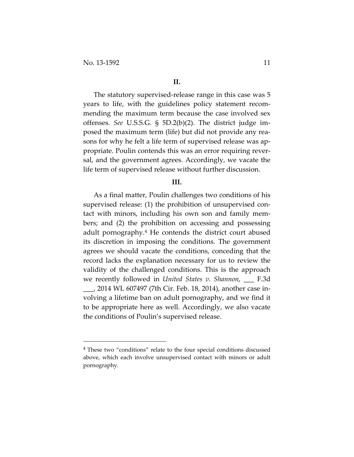The statutory supervised-release range in this case was 5 years to life, with the guidelines policy statement recom‐ mending the maximum term because the case involved sex offenses. *See* U.S.S.G. § 5D.2(b)(2). The district judge im‐ posed the maximum term (life) but did not provide any rea‐ sons for why he felt a life term of supervised release was appropriate. Poulin contends this was an error requiring rever‐ sal, and the government agrees. Accordingly, we vacate the life term of supervised release without further discussion.

#### **III.**

As a final matter, Poulin challenges two conditions of his supervised release: (1) the prohibition of unsupervised con‐ tact with minors, including his own son and family mem‐ bers; and (2) the prohibition on accessing and possessing adult pornography.<sup>4</sup> He contends the district court abused its discretion in imposing the conditions. The government agrees we should vacate the conditions, conceding that the record lacks the explanation necessary for us to review the validity of the challenged conditions. This is the approach we recently followed in *United States v. Shannon*, \_\_\_ F.3d \_\_\_, 2014 WL 607497 (7th Cir. Feb. 18, 2014), another case in‐ volving a lifetime ban on adult pornography, and we find it to be appropriate here as well. Accordingly, we also vacate the conditions of Poulin's supervised release.

<sup>4</sup> These two "conditions" relate to the four special conditions discussed above, which each involve unsupervised contact with minors or adult pornography.